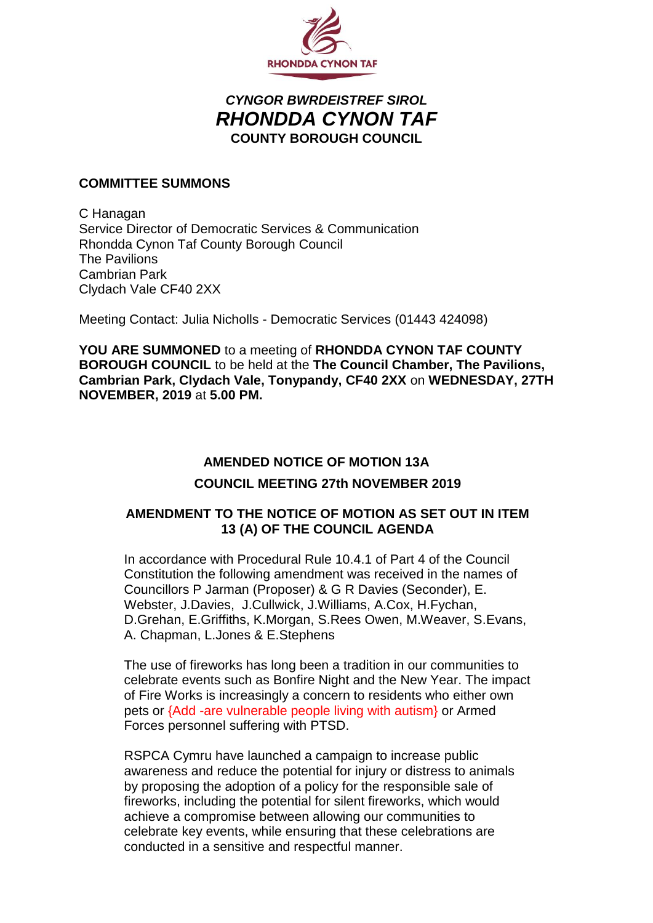

## *CYNGOR BWRDEISTREF SIROL RHONDDA CYNON TAF* **COUNTY BOROUGH COUNCIL**

### **COMMITTEE SUMMONS**

C Hanagan Service Director of Democratic Services & Communication Rhondda Cynon Taf County Borough Council The Pavilions Cambrian Park Clydach Vale CF40 2XX

Meeting Contact: Julia Nicholls - Democratic Services (01443 424098)

**YOU ARE SUMMONED** to a meeting of **RHONDDA CYNON TAF COUNTY BOROUGH COUNCIL** to be held at the **The Council Chamber, The Pavilions, Cambrian Park, Clydach Vale, Tonypandy, CF40 2XX** on **WEDNESDAY, 27TH NOVEMBER, 2019** at **5.00 PM.**

# **AMENDED NOTICE OF MOTION 13A COUNCIL MEETING 27th NOVEMBER 2019**

### **AMENDMENT TO THE NOTICE OF MOTION AS SET OUT IN ITEM 13 (A) OF THE COUNCIL AGENDA**

In accordance with Procedural Rule 10.4.1 of Part 4 of the Council Constitution the following amendment was received in the names of Councillors P Jarman (Proposer) & G R Davies (Seconder), E. Webster, J.Davies, J.Cullwick, J.Williams, A.Cox, H.Fychan, D.Grehan, E.Griffiths, K.Morgan, S.Rees Owen, M.Weaver, S.Evans, A. Chapman, L.Jones & E.Stephens

The use of fireworks has long been a tradition in our communities to celebrate events such as Bonfire Night and the New Year. The impact of Fire Works is increasingly a concern to residents who either own pets or {Add -are vulnerable people living with autism} or Armed Forces personnel suffering with PTSD.

RSPCA Cymru have launched a campaign to increase public awareness and reduce the potential for injury or distress to animals by proposing the adoption of a policy for the responsible sale of fireworks, including the potential for silent fireworks, which would achieve a compromise between allowing our communities to celebrate key events, while ensuring that these celebrations are conducted in a sensitive and respectful manner.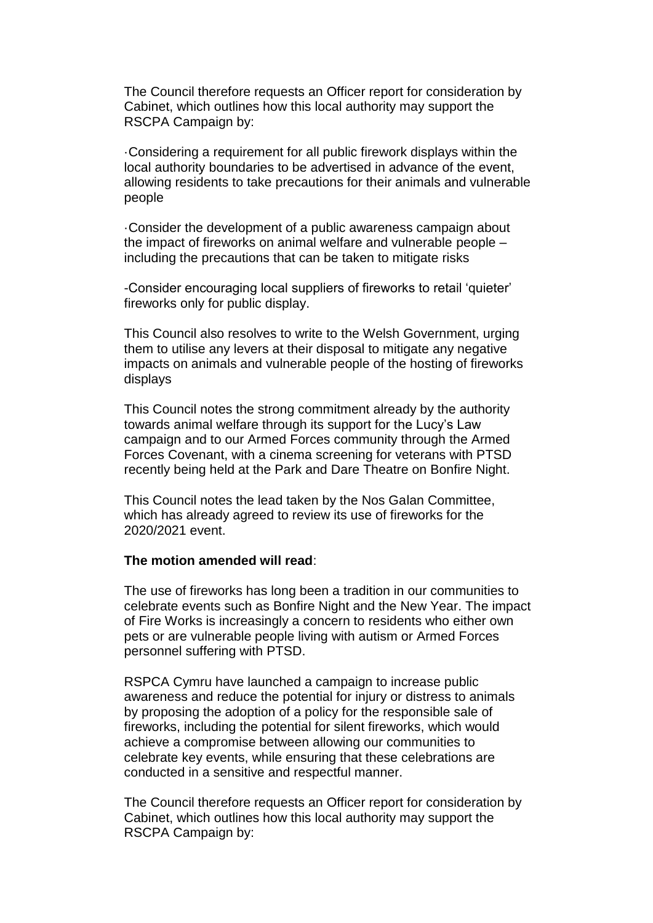The Council therefore requests an Officer report for consideration by Cabinet, which outlines how this local authority may support the RSCPA Campaign by:

·Considering a requirement for all public firework displays within the local authority boundaries to be advertised in advance of the event, allowing residents to take precautions for their animals and vulnerable people

·Consider the development of a public awareness campaign about the impact of fireworks on animal welfare and vulnerable people – including the precautions that can be taken to mitigate risks

-Consider encouraging local suppliers of fireworks to retail 'quieter' fireworks only for public display.

This Council also resolves to write to the Welsh Government, urging them to utilise any levers at their disposal to mitigate any negative impacts on animals and vulnerable people of the hosting of fireworks displays

This Council notes the strong commitment already by the authority towards animal welfare through its support for the Lucy's Law campaign and to our Armed Forces community through the Armed Forces Covenant, with a cinema screening for veterans with PTSD recently being held at the Park and Dare Theatre on Bonfire Night.

This Council notes the lead taken by the Nos Galan Committee, which has already agreed to review its use of fireworks for the 2020/2021 event.

#### **The motion amended will read**:

The use of fireworks has long been a tradition in our communities to celebrate events such as Bonfire Night and the New Year. The impact of Fire Works is increasingly a concern to residents who either own pets or are vulnerable people living with autism or Armed Forces personnel suffering with PTSD.

RSPCA Cymru have launched a campaign to increase public awareness and reduce the potential for injury or distress to animals by proposing the adoption of a policy for the responsible sale of fireworks, including the potential for silent fireworks, which would achieve a compromise between allowing our communities to celebrate key events, while ensuring that these celebrations are conducted in a sensitive and respectful manner.

The Council therefore requests an Officer report for consideration by Cabinet, which outlines how this local authority may support the RSCPA Campaign by: